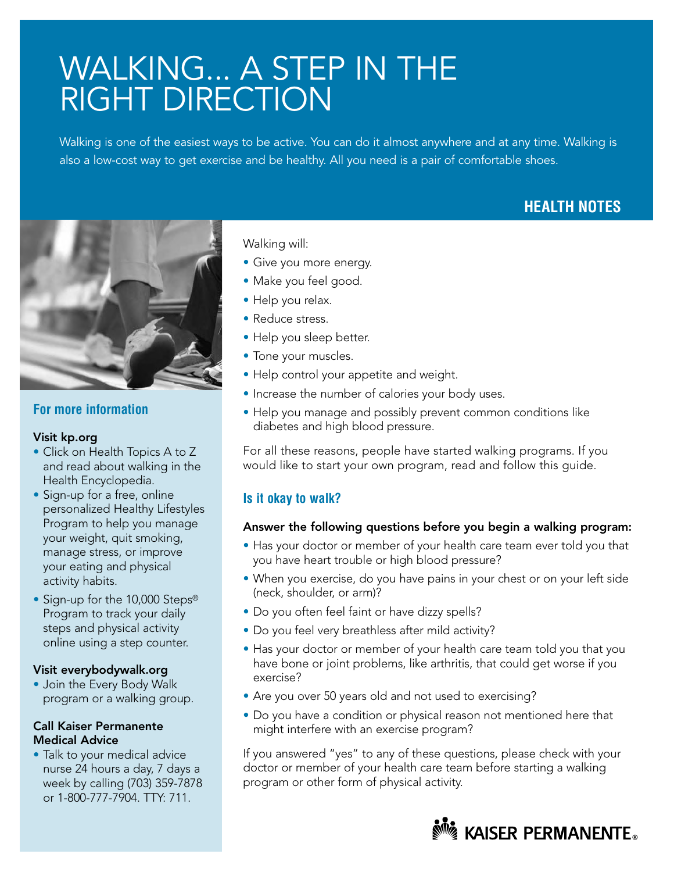# WALKING... A STEP IN THE RIGHT DIRECTION

Walking is one of the easiest ways to be active. You can do it almost anywhere and at any time. Walking is also a low-cost way to get exercise and be healthy. All you need is a pair of comfortable shoes.

# **HEALTH NOTES**



## **For more information**

#### Visit kp.org

- Click on Health Topics A to Z and read about walking in the Health Encyclopedia.
- Sign-up for a free, online personalized Healthy Lifestyles Program to help you manage your weight, quit smoking, manage stress, or improve your eating and physical activity habits.
- Sign-up for the 10,000 Steps® Program to track your daily steps and physical activity online using a step counter.

#### Visit everybodywalk.org

• Join the Every Body Walk program or a walking group.

#### Call Kaiser Permanente Medical Advice

• Talk to your medical advice nurse 24 hours a day, 7 days a week by calling (703) 359-7878 or 1-800-777-7904. TTY: 711.

Walking will:

- Give you more energy.
- Make you feel good.
- Help you relax.
- Reduce stress.
- Help you sleep better.
- Tone your muscles.
- Help control your appetite and weight.
- Increase the number of calories your body uses.
- Help you manage and possibly prevent common conditions like diabetes and high blood pressure.

For all these reasons, people have started walking programs. If you would like to start your own program, read and follow this guide.

### **Is it okay to walk?**

#### Answer the following questions before you begin a walking program:

- Has your doctor or member of your health care team ever told you that you have heart trouble or high blood pressure?
- When you exercise, do you have pains in your chest or on your left side (neck, shoulder, or arm)?
- Do you often feel faint or have dizzy spells?
- Do you feel very breathless after mild activity?
- Has your doctor or member of your health care team told you that you have bone or joint problems, like arthritis, that could get worse if you exercise?
- Are you over 50 years old and not used to exercising?
- Do you have a condition or physical reason not mentioned here that might interfere with an exercise program?

If you answered "yes" to any of these questions, please check with your doctor or member of your health care team before starting a walking program or other form of physical activity.

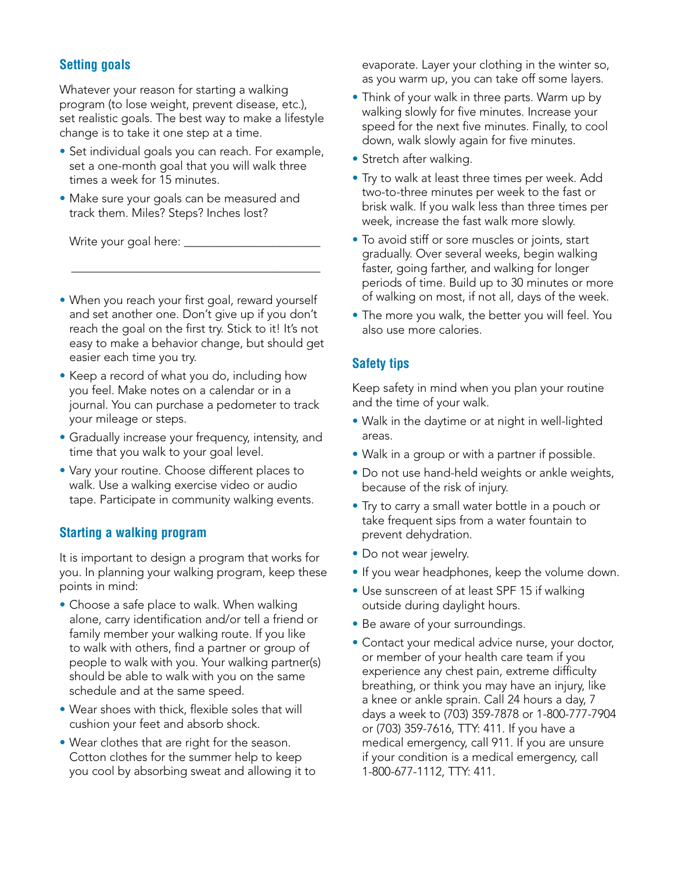## **Setting goals**

Whatever your reason for starting a walking program (to lose weight, prevent disease, etc.), set realistic goals. The best way to make a lifestyle change is to take it one step at a time.

- Set individual goals you can reach. For example, set a one-month goal that you will walk three times a week for 15 minutes.
- Make sure your goals can be measured and track them. Miles? Steps? Inches lost?

Write your goal here: \_

• When you reach your first goal, reward yourself and set another one. Don't give up if you don't reach the goal on the first try. Stick to it! It's not easy to make a behavior change, but should get easier each time you try.

\_\_\_\_\_\_\_\_\_\_\_\_\_\_\_\_\_\_\_\_\_\_\_\_\_\_\_\_\_\_\_\_\_\_\_\_\_\_\_\_\_\_

- Keep a record of what you do, including how you feel. Make notes on a calendar or in a journal. You can purchase a pedometer to track your mileage or steps.
- Gradually increase your frequency, intensity, and time that you walk to your goal level.
- Vary your routine. Choose different places to walk. Use a walking exercise video or audio tape. Participate in community walking events.

### **Starting a walking program**

It is important to design a program that works for you. In planning your walking program, keep these points in mind:

- Choose a safe place to walk. When walking alone, carry identification and/or tell a friend or family member your walking route. If you like to walk with others, find a partner or group of people to walk with you. Your walking partner(s) should be able to walk with you on the same schedule and at the same speed.
- Wear shoes with thick, flexible soles that will cushion your feet and absorb shock.
- Wear clothes that are right for the season. Cotton clothes for the summer help to keep you cool by absorbing sweat and allowing it to

evaporate. Layer your clothing in the winter so, as you warm up, you can take off some layers.

- Think of your walk in three parts. Warm up by walking slowly for five minutes. Increase your speed for the next five minutes. Finally, to cool down, walk slowly again for five minutes.
- Stretch after walking.
- Try to walk at least three times per week. Add two-to-three minutes per week to the fast or brisk walk. If you walk less than three times per week, increase the fast walk more slowly.
- To avoid stiff or sore muscles or joints, start gradually. Over several weeks, begin walking faster, going farther, and walking for longer periods of time. Build up to 30 minutes or more of walking on most, if not all, days of the week.
- The more you walk, the better you will feel. You also use more calories.

### **Safety tips**

Keep safety in mind when you plan your routine and the time of your walk.

- Walk in the daytime or at night in well-lighted areas.
- Walk in a group or with a partner if possible.
- Do not use hand-held weights or ankle weights, because of the risk of injury.
- Try to carry a small water bottle in a pouch or take frequent sips from a water fountain to prevent dehydration.
- Do not wear jewelry.
- If you wear headphones, keep the volume down.
- Use sunscreen of at least SPF 15 if walking outside during daylight hours.
- Be aware of your surroundings.
- Contact your medical advice nurse, your doctor, or member of your health care team if you experience any chest pain, extreme difficulty breathing, or think you may have an injury, like a knee or ankle sprain. Call 24 hours a day, 7 days a week to (703) 359-7878 or 1-800-777-7904 or (703) 359-7616, TTY: 411. If you have a medical emergency, call 911. If you are unsure if your condition is a medical emergency, call 1-800-677-1112, TTY: 411.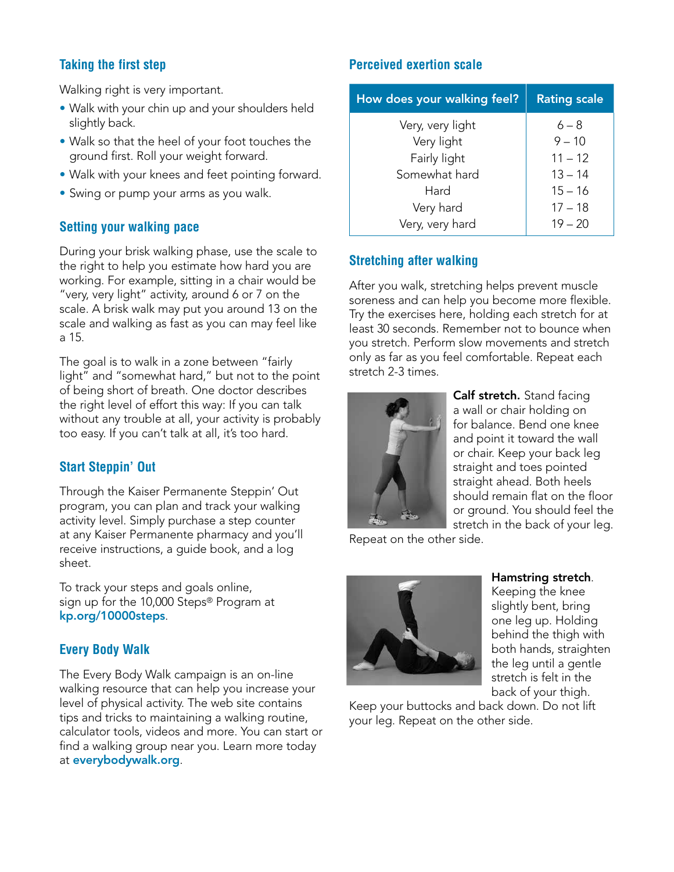# **Taking the first step**

Walking right is very important.

- Walk with your chin up and your shoulders held slightly back.
- Walk so that the heel of your foot touches the ground first. Roll your weight forward.
- Walk with your knees and feet pointing forward.
- Swing or pump your arms as you walk.

## **Setting your walking pace**

During your brisk walking phase, use the scale to the right to help you estimate how hard you are working. For example, sitting in a chair would be "very, very light" activity, around 6 or 7 on the scale. A brisk walk may put you around 13 on the scale and walking as fast as you can may feel like a 15.

The goal is to walk in a zone between "fairly light" and "somewhat hard," but not to the point of being short of breath. One doctor describes the right level of effort this way: If you can talk without any trouble at all, your activity is probably too easy. If you can't talk at all, it's too hard.

# **Start Steppin' Out**

Through the Kaiser Permanente Steppin' Out program, you can plan and track your walking activity level. Simply purchase a step counter at any Kaiser Permanente pharmacy and you'll receive instructions, a guide book, and a log sheet.

To track your steps and goals online, sign up for the 10,000 Steps® Program at kp.org/10000steps.

# **Every Body Walk**

The Every Body Walk campaign is an on-line walking resource that can help you increase your level of physical activity. The web site contains tips and tricks to maintaining a walking routine, calculator tools, videos and more. You can start or find a walking group near you. Learn more today at everybodywalk.org.

# **Perceived exertion scale**

| How does your walking feel? | <b>Rating scale</b> |
|-----------------------------|---------------------|
| Very, very light            | $6 - 8$             |
| Very light                  | $9 - 10$            |
| Fairly light                | $11 - 12$           |
| Somewhat hard               | $13 - 14$           |
| Hard                        | $15 - 16$           |
| Very hard                   | $17 - 18$           |
| Very, very hard             | $19 - 20$           |

# **Stretching after walking**

After you walk, stretching helps prevent muscle soreness and can help you become more flexible. Try the exercises here, holding each stretch for at least 30 seconds. Remember not to bounce when you stretch. Perform slow movements and stretch only as far as you feel comfortable. Repeat each stretch 2-3 times.



Calf stretch. Stand facing a wall or chair holding on for balance. Bend one knee and point it toward the wall or chair. Keep your back leg straight and toes pointed straight ahead. Both heels should remain flat on the floor or ground. You should feel the stretch in the back of your leg.

Repeat on the other side.



Hamstring stretch.

Keeping the knee slightly bent, bring one leg up. Holding behind the thigh with both hands, straighten the leg until a gentle stretch is felt in the back of your thigh.

Keep your buttocks and back down. Do not lift your leg. Repeat on the other side.